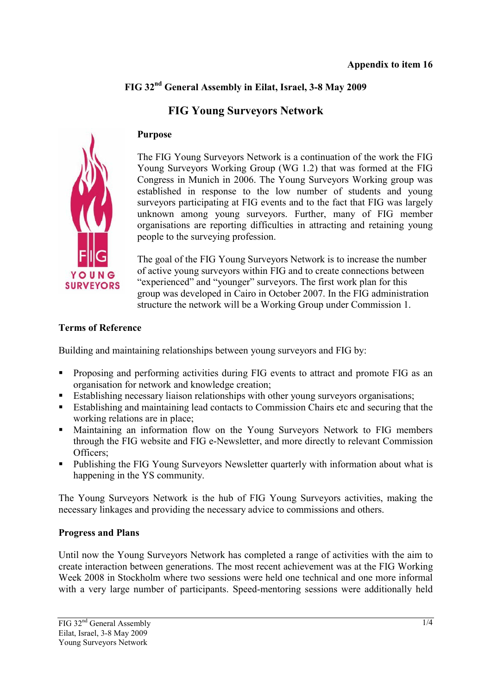## **FIG 32nd General Assembly in Eilat, Israel, 3-8 May 2009**

# **FIG Young Surveyors Network**



#### **Purpose**

The FIG Young Surveyors Network is a continuation of the work the FIG Young Surveyors Working Group (WG 1.2) that was formed at the FIG Congress in Munich in 2006. The Young Surveyors Working group was established in response to the low number of students and young surveyors participating at FIG events and to the fact that FIG was largely unknown among young surveyors. Further, many of FIG member organisations are reporting difficulties in attracting and retaining young people to the surveying profession.

The goal of the FIG Young Surveyors Network is to increase the number of active young surveyors within FIG and to create connections between "experienced" and "younger" surveyors. The first work plan for this group was developed in Cairo in October 2007. In the FIG administration structure the network will be a Working Group under Commission 1.

#### **Terms of Reference**

Building and maintaining relationships between young surveyors and FIG by:

- Proposing and performing activities during FIG events to attract and promote FIG as an organisation for network and knowledge creation;
- **Establishing necessary liaison relationships with other young surveyors organisations;**
- Establishing and maintaining lead contacts to Commission Chairs etc and securing that the working relations are in place;
- Maintaining an information flow on the Young Surveyors Network to FIG members through the FIG website and FIG e-Newsletter, and more directly to relevant Commission Officers;
- Publishing the FIG Young Surveyors Newsletter quarterly with information about what is happening in the YS community.

The Young Surveyors Network is the hub of FIG Young Surveyors activities, making the necessary linkages and providing the necessary advice to commissions and others.

### **Progress and Plans**

Until now the Young Surveyors Network has completed a range of activities with the aim to create interaction between generations. The most recent achievement was at the FIG Working Week 2008 in Stockholm where two sessions were held one technical and one more informal with a very large number of participants. Speed-mentoring sessions were additionally held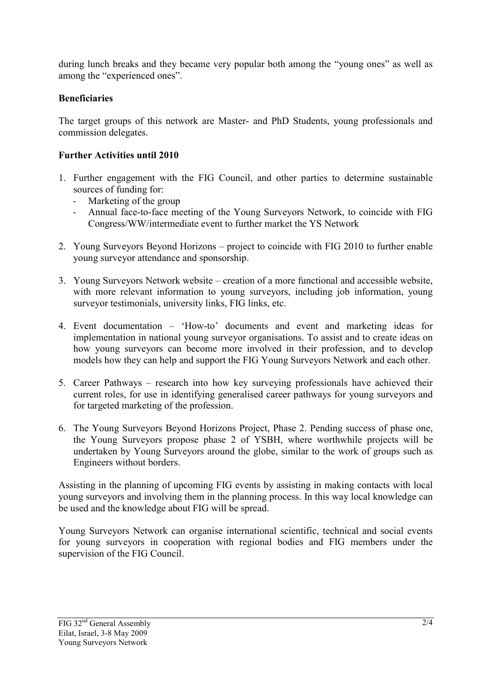during lunch breaks and they became very popular both among the "young ones" as well as among the "experienced ones".

### **Beneficiaries**

The target groups of this network are Master- and PhD Students, young professionals and commission delegates.

### **Further Activities until 2010**

- 1. Further engagement with the FIG Council, and other parties to determine sustainable sources of funding for:
	- Marketing of the group
	- Annual face-to-face meeting of the Young Surveyors Network, to coincide with FIG Congress/WW/intermediate event to further market the YS Network
- 2. Young Surveyors Beyond Horizons project to coincide with FIG 2010 to further enable young surveyor attendance and sponsorship.
- 3. Young Surveyors Network website creation of a more functional and accessible website, with more relevant information to young surveyors, including job information, young surveyor testimonials, university links, FIG links, etc.
- 4. Event documentation 'How-to' documents and event and marketing ideas for implementation in national young surveyor organisations. To assist and to create ideas on how young surveyors can become more involved in their profession, and to develop models how they can help and support the FIG Young Surveyors Network and each other.
- 5. Career Pathways research into how key surveying professionals have achieved their current roles, for use in identifying generalised career pathways for young surveyors and for targeted marketing of the profession.
- 6. The Young Surveyors Beyond Horizons Project, Phase 2. Pending success of phase one, the Young Surveyors propose phase 2 of YSBH, where worthwhile projects will be undertaken by Young Surveyors around the globe, similar to the work of groups such as Engineers without borders.

Assisting in the planning of upcoming FIG events by assisting in making contacts with local young surveyors and involving them in the planning process. In this way local knowledge can be used and the knowledge about FIG will be spread.

Young Surveyors Network can organise international scientific, technical and social events for young surveyors in cooperation with regional bodies and FIG members under the supervision of the FIG Council.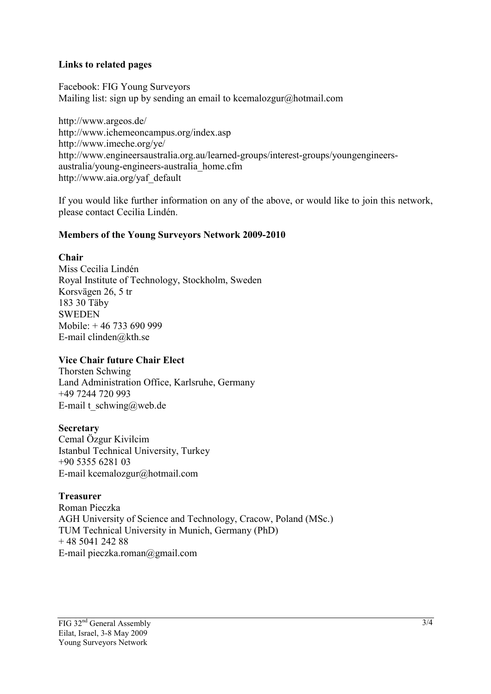#### **Links to related pages**

Facebook: FIG Young Surveyors Mailing list: sign up by sending an email to kcemalozgur@hotmail.com

http://www.argeos.de/ http://www.ichemeoncampus.org/index.asp http://www.imeche.org/ye/ http://www.engineersaustralia.org.au/learned-groups/interest-groups/youngengineersaustralia/young-engineers-australia\_home.cfm http://www.aia.org/yaf\_default

If you would like further information on any of the above, or would like to join this network, please contact Cecilia Lindén.

#### **Members of the Young Surveyors Network 2009-2010**

#### **Chair**

Miss Cecilia Lindén Royal Institute of Technology, Stockholm, Sweden Korsvägen 26, 5 tr 183 30 Täby **SWEDEN** Mobile: + 46 733 690 999 E-mail clinden@kth.se

#### **Vice Chair future Chair Elect**

Thorsten Schwing Land Administration Office, Karlsruhe, Germany +49 7244 720 993 E-mail t\_schwing@web.de

#### **Secretary**

Cemal Özgur Kivilcim Istanbul Technical University, Turkey +90 5355 6281 03 E-mail kcemalozgur@hotmail.com

**Treasurer**  Roman Pieczka AGH University of Science and Technology, Cracow, Poland (MSc.) TUM Technical University in Munich, Germany (PhD)  $+ 48$  5041 242 88 E-mail pieczka.roman@gmail.com